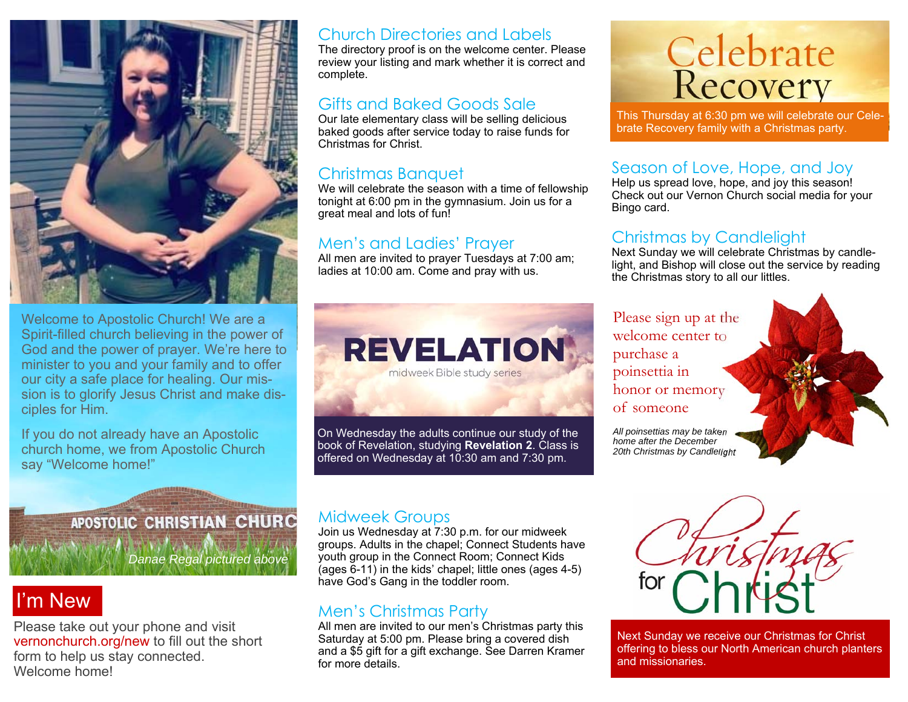

Welcome to Apostolic Church! We are a Spirit-filled church believing in the power of God and the power of prayer. We're here to minister to you and your family and to offer our city a safe place for healing. Our mission is to glorify Jesus Christ and make disciples for Him.

If you do not already have an Apostolic church home, we from Apostolic Church say "Welcome home!"

#### Church Directories and Labels

The directory proof is on the welcome center. Please review your listing and mark whether it is correct and complete.

## Gifts and Baked Goods Sale

Our late elementary class will be selling delicious baked goods after service today to raise funds for Christmas for Christ.

## Christmas Banquet

We will celebrate the season with a time of fellowship tonight at 6:00 pm in the gymnasium. Join us for a great meal and lots of fun!

## Men's and Ladies' Prayer

All men are invited to prayer Tuesdays at 7:00 am; ladies at 10:00 am. Come and pray with us.



On Wednesday the adults continue our study of the book of Revelation, studying **Revelation 2**. Class is offered on Wednesday at 10:30 am and 7:30 pm.

# **Celebrate**<br>Recovery

This Thursday at 6:30 pm we will celebrate our Celebrate Recovery family with a Christmas party.

## Season of Love, Hope, and Joy

Help us spread love, hope, and joy this season! Check out our Vernon Church social media for your Bingo card.

## Christmas by Candlelight

Next Sunday we will celebrate Christmas by candlelight, and Bishop will close out the service by reading the Christmas story to all our littles.

#### Please sign up at the welcome center to purchase a poinsettia in honor or memory of someone

*All poinsettias may be taken home after the December 20th Christmas by Candlelight*

## APOSTOLIC CHRISTIAN CHURC

*Danae Regal pictured above* 

## I'm New

Please take out your phone and visit vernonchurch.org/new to fill out the short form to help us stay connected. Welcome home!

### Midweek Groups

Join us Wednesday at 7:30 p.m. for our midweek groups. Adults in the chapel; Connect Students have youth group in the Connect Room; Connect Kids (ages 6-11) in the kids' chapel; little ones (ages 4-5) have God's Gang in the toddler room.

## Men's Christmas Party

All men are invited to our men's Christmas party this Saturday at 5:00 pm. Please bring a covered dish and a \$5 gift for a gift exchange. See Darren Kramer for more details.



Next Sunday we receive our Christmas for Christ offering to bless our North American church planters and missionaries.